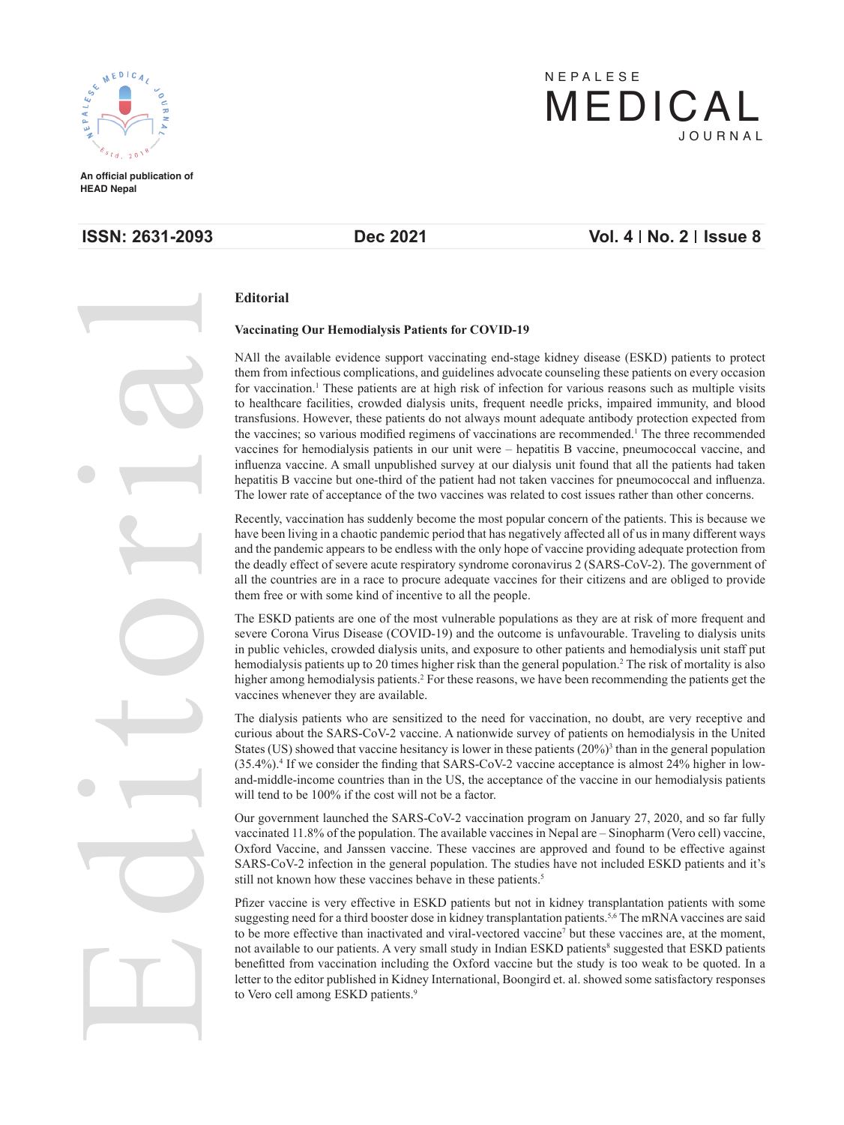

**An official publication of An official publication of HEAD Nepal HEAD Nepal**

# **ISSN: 2631-2093** Dec 2021 Vol. 4 | No. 2 | Issue 8

JOURNAL JOURNAL

MEDICAL MEDICAL

NEPALESE NEPALESE



### **Editorial**

### **EDITORIAL EXECUTE:** Vaccinating Our Hemodialysis Patients for COVID-19

NAll the available evidence support vaccinating end-stage kidney disease (ESKD) patients to protect *Rabin Bahadur Bahadur Bahadur Bahadur Bahadur Bahadur Bahadur Bahadur Bahadur Bahadur Bahadur Bahadur Bahadur Bahadur Bahadur Bahadur Bahadur Bahadur Bahadur Bahadur Bahadur Bahadur Bahadur Bahadur Bahadur Bahadur Bahadu* vaccines for hemodialysis patients in our unit were – hepatitis B vaccine, pneumococcal vaccine, and hindenza vaceme. A small diplomatica survey at our diarysis different had that all the patients had taken<br>hepatitis B vaccine but one-third of the patient had not taken vaccines for pneumococcal and influenza. for vaccination.<sup>1</sup> These patients are at high risk of infection for various reasons such as multiple visits to healthcare facilities, crowded dialysis units, frequent needle pricks, impaired immunity, and blood transfusions. However, these patients do not always mount adequate antibody protection expected from the vaccines; so various modified regimens of vaccinations are recommended.<sup>1</sup> The three recommended influenza vaccine. A small unpublished survey at our dialysis unit found that all the patients had taken The lower rate of acceptance of the two vaccines was related to cost issues rather than other concerns.

*Sanjaya Kumar Shrestha, Anupam Ghimire, Safiur Rahman Ansari, Ashok Sanjaya Kumar Shrestha, Anupam Ghimire, Safiur Rahman Ansari, Ashok*  the deadly effect of severe acute respiratory syndrome coronavirus 2 (SARS-CoV-2). The government of **Provided a** Prostatic Pathology Syndrome colonavirus 2 (SAKS-COV-2). The government of all the countries are in a race to procure adequate vaccines for their citizens and are obliged to provide *Nirajan Mainali, Nirajan Mainali, Nirajan Mainali, Nirajan Mainali, Nirajan Mainali, Nirajan Mainali, Nirajan Mainali, Nirajan Mainali, Jit Shrestha Chaudhary, Jit Shrestha Chaudhary, Jit Shrestha Chaudhary, Jit Shrestha* **Studies and the pandemic appears to be endless with the only hope of vaccine providing adequate protection from** Recently, vaccination has suddenly become the most popular concern of the patients. This is because we have been living in a chaotic pandemic period that has negatively affected all of us in many different ways

Antimicrobial Resistance Patterns in Clinical Resistance Patterns in Clinical Islam Corporation of the State of COVID-10) and the outcome is unfounded in Traveling to dis**from a Tertiary Care Hospital, Care Hospital, Care Hospital, Care in the care in the care in the care in public vehicles, crowded dialysis units, and exposure to other patients and hemodialysis unit staff put** In public venicies, crowded dialysis units, and exposure to other patients and hemodialysis unit start put<br>hemodialysis patients up to 20 times higher risk than the general population.<sup>2</sup> The risk of mortality is also Fractional Ablative Carbonal Ablative Carbons - A contract Carbons, we have been recently acceived whenever they are available. The ESKD patients are one of the most vulnerable populations as they are at risk of more frequent and severe Corona Virus Disease (COVID-19) and the outcome is unfavourable. Traveling to dialysis units higher among hemodialysis patients.<sup>2</sup> For these reasons, we have been recommending the patients get the vaccines whenever they are available.

*Rima Shrestha, Anupama Karki*  curious about the SARS-CoV-2 vaccine. A nationwide survey of patients on hemodialysis in the United  $(35.4\%)$ <sup>4</sup> If we consider the finding that SARS-CoV-2 vaccine acceptance is almost  $24\%$  higher in low-(35.4%). If we consider the miding that SAKS-Cov-2 vaccine acceptance is annost 24% inglier in tow-<br>and-middle-income countries than in the US, the acceptance of the vaccine in our hemodialysis patients The dialysis patients who are sensitized to the need for vaccination, no doubt, are very receptive and States (US) showed that vaccine hesitancy is lower in these patients  $(20\%)^3$  than in the general population Fine Value No. 0.4. 1007, 0.12 Mile Voor H.M. Hov OV W. I.WVOI. will tend to be 100% if the cost will not be a factor.

**Figure 1.**  $\theta$  and  $\theta$  is the Assessment of Upper Air Assessment of Upper Airway  $\theta$  and Upper Airway  $\theta$ **Sangita Register Chalise Chalise Chalise Chalise Chalise Chalise Chalise Chalise Chalise,** Oxford Vaccine, and Janssen vaccine. These vaccines are approved and found to be effective against **History COV-2** infection in the general population of SAKS-COV-2 infection in the general population of SAKS-COV-2 infection in the general population. 20, anu<br>Voro co **89 - 93** vaccinated 11.8% of the population. The available vaccines in Nepal are – Sinopharm (Vero cell) vaccine, *Palzum Sherpa, Sherpa, Sherpa, Sherpa, Sherpa, Sherpa, Sherpa, Sherpa, Sherpa, Sherpa, Sherpa, Sherpa, Sherpa, Sherpa, Sherpa, Sherpa, Sherpa, Sherpa, Sherpa, Sherpa, Sherpa, Sherpa, Sherpa, Sherpa, Sherpa, Sherpa, Sherpa* Our government launched the SARS-CoV-2 vaccination program on January 27, 2020, and so far fully **SARS-CoV-2** infection in the general population. The studies have not included ESKD patients and it's still not linear hour these pressings helpers in these pretints.

**Phalaceuse** Pfizer vaccine is very effective in ESKD patients but not in kidney transplantation patients with some **Experience about the more effective than inactivated and viral-vectored vaccine<sup>7</sup> but these vaccines are, at the moment,** benefitted from vaccination including the Oxford vaccine but the study is too weak to be quoted. In a **Pattern of the canon pattern of the Kidney international, boonging cit. al.** Show **97 - 99** suggesting need for a third booster dose in kidney transplantation patients.<sup>5,6</sup> The mRNA vaccines are said not available to our patients. A very small study in Indian ESKD patients<sup>8</sup> suggested that ESKD patients letter to the editor published in Kidney International, Boongird et. al. showed some satisfactory responses to Vore coll among ESKD patients<sup>9</sup>